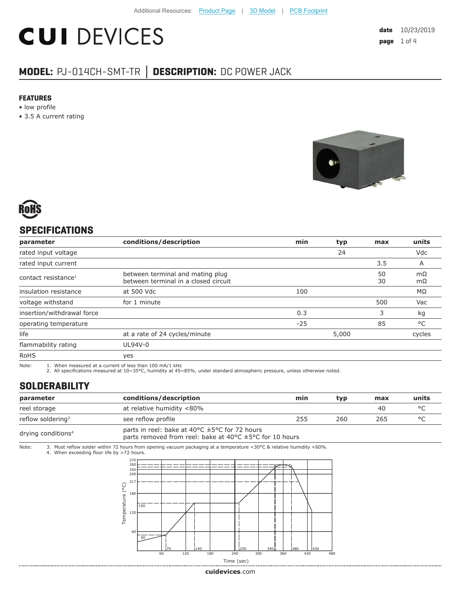# **CUI DEVICES**

### **MODEL:** PJ-014CH-SMT-TR **│ DESCRIPTION:** DC POWER JACK

#### **FEATURES**

- low profile
- 3.5 A current rating





#### **SPECIFICATIONS**

| parameter                       | conditions/description                                                   | min   | typ   | max      | units     |
|---------------------------------|--------------------------------------------------------------------------|-------|-------|----------|-----------|
| rated input voltage             |                                                                          |       | 24    |          | Vdc       |
| rated input current             |                                                                          |       |       | 3.5      | A         |
| contact resistance <sup>1</sup> | between terminal and mating plug<br>between terminal in a closed circuit |       |       | 50<br>30 | mΩ<br>mΩ  |
| insulation resistance           | at 500 Vdc                                                               | 100   |       |          | $M\Omega$ |
| voltage withstand               | for 1 minute                                                             |       |       | 500      | Vac       |
| insertion/withdrawal force      |                                                                          | 0.3   |       | 3        | kg        |
| operating temperature           |                                                                          | $-25$ |       | 85       | °C        |
| life                            | at a rate of 24 cycles/minute                                            |       | 5,000 |          | cycles    |
| flammability rating             | UL94V-0                                                                  |       |       |          |           |
| <b>RoHS</b>                     | yes                                                                      |       |       |          |           |

Note: 1. When measured at a current of less than 100 mA/1 kHz 2. All specifications measured at 10~35°C, humidity at 45~85%, under standard atmospheric pressure, unless otherwise noted.

#### **SOLDERABILITY**

| parameter                      | conditions/description                                                                                                                                     | min | typ | max | units |
|--------------------------------|------------------------------------------------------------------------------------------------------------------------------------------------------------|-----|-----|-----|-------|
| reel storage                   | at relative humidity <80%                                                                                                                                  |     |     | 40  |       |
| reflow soldering <sup>3</sup>  | see reflow profile                                                                                                                                         | 255 | 260 | 265 |       |
| drying conditions <sup>4</sup> | parts in reel: bake at 40 $\degree$ C $\pm$ 5 $\degree$ C for 72 hours<br>parts removed from reel: bake at 40 $\degree$ C $\pm$ 5 $\degree$ C for 10 hours |     |     |     |       |

Note: 3. Must reflow solder within 72 hours from opening vacuum packaging at a temperature <30°C & relative humidity <60%. 4. When exceeding floor life by >72 hours.

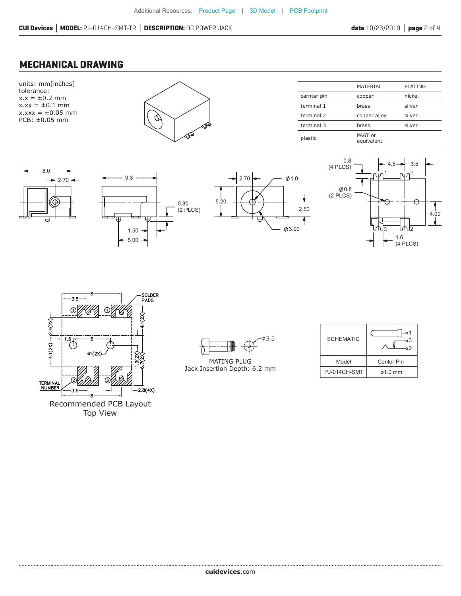#### **MECHANICAL DRAWING**















MATING PLUG Jack Insertion Depth: 6.2 mm

| <b>SCHEMATIC</b> | ი 1<br>٥3<br>$2^{\circ}$ |  |  |
|------------------|--------------------------|--|--|
| Model            | <b>Center Pin</b>        |  |  |
| PJ-014CH-SMT     | $\alpha$ 1.0 mm          |  |  |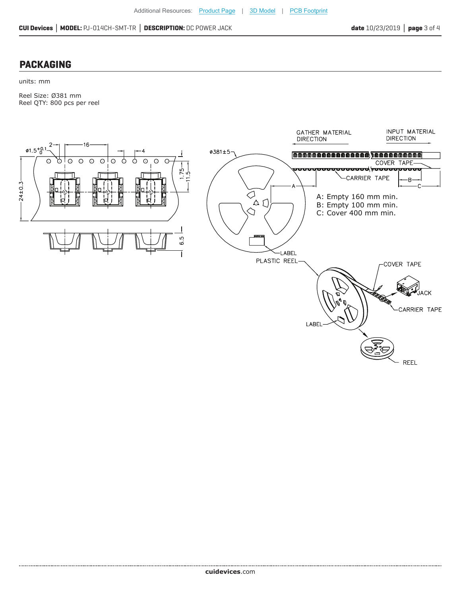#### **PACKAGING**

units: mm

Reel Size: Ø381 mm Reel QTY: 800 pcs per reel



**cui[devices](https://www.cuidevices.com/track?actionLabel=Datasheet-ClickThrough-HomePage&label=PJ-014CH-SMT-TR.pdf&path=/)**.com